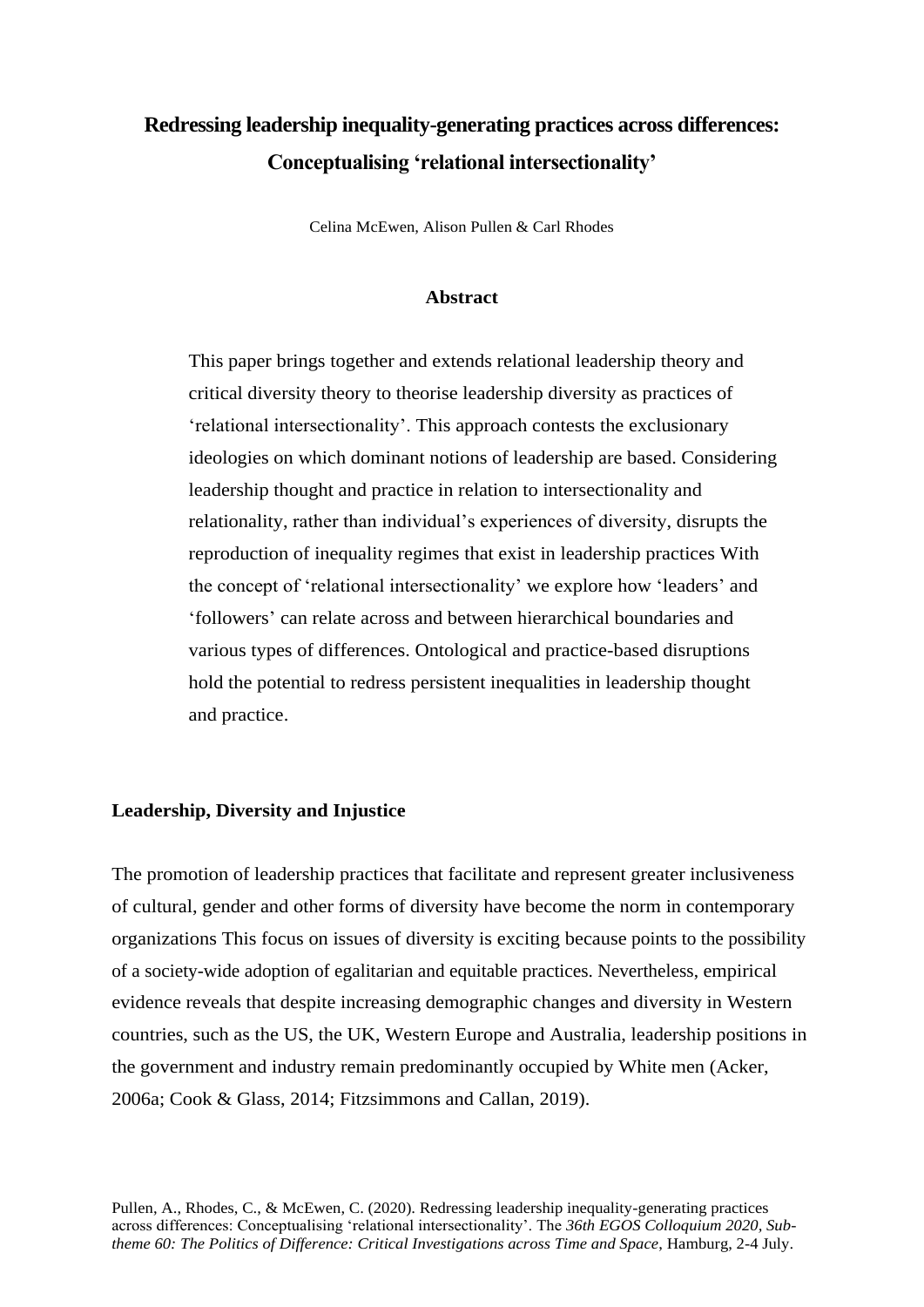# **Redressing leadership inequality-generating practices across differences: Conceptualising 'relational intersectionality'**

Celina McEwen, Alison Pullen & Carl Rhodes

## **Abstract**

This paper brings together and extends relational leadership theory and critical diversity theory to theorise leadership diversity as practices of 'relational intersectionality'. This approach contests the exclusionary ideologies on which dominant notions of leadership are based. Considering leadership thought and practice in relation to intersectionality and relationality, rather than individual's experiences of diversity, disrupts the reproduction of inequality regimes that exist in leadership practices With the concept of 'relational intersectionality' we explore how 'leaders' and 'followers' can relate across and between hierarchical boundaries and various types of differences. Ontological and practice-based disruptions hold the potential to redress persistent inequalities in leadership thought and practice.

#### **Leadership, Diversity and Injustice**

The promotion of leadership practices that facilitate and represent greater inclusiveness of cultural, gender and other forms of diversity have become the norm in contemporary organizations This focus on issues of diversity is exciting because points to the possibility of a society-wide adoption of egalitarian and equitable practices. Nevertheless, empirical evidence reveals that despite increasing demographic changes and diversity in Western countries, such as the US, the UK, Western Europe and Australia, leadership positions in the government and industry remain predominantly occupied by White men (Acker, 2006a; Cook & Glass, 2014; Fitzsimmons and Callan, 2019).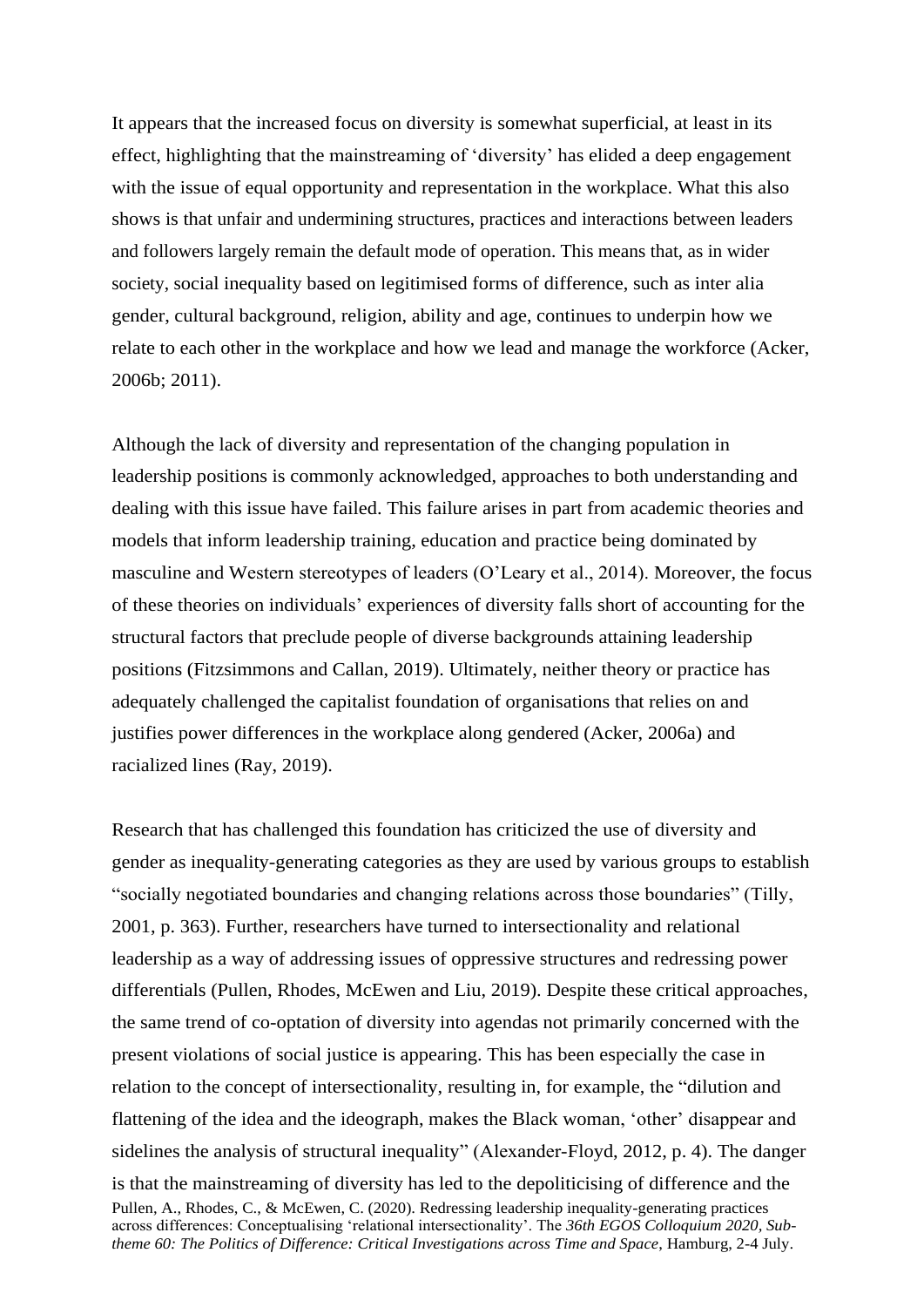It appears that the increased focus on diversity is somewhat superficial, at least in its effect, highlighting that the mainstreaming of 'diversity' has elided a deep engagement with the issue of equal opportunity and representation in the workplace. What this also shows is that unfair and undermining structures, practices and interactions between leaders and followers largely remain the default mode of operation. This means that, as in wider society, social inequality based on legitimised forms of difference, such as inter alia gender, cultural background, religion, ability and age, continues to underpin how we relate to each other in the workplace and how we lead and manage the workforce (Acker, 2006b; 2011).

Although the lack of diversity and representation of the changing population in leadership positions is commonly acknowledged, approaches to both understanding and dealing with this issue have failed. This failure arises in part from academic theories and models that inform leadership training, education and practice being dominated by masculine and Western stereotypes of leaders (O'Leary et al., 2014). Moreover, the focus of these theories on individuals' experiences of diversity falls short of accounting for the structural factors that preclude people of diverse backgrounds attaining leadership positions (Fitzsimmons and Callan, 2019). Ultimately, neither theory or practice has adequately challenged the capitalist foundation of organisations that relies on and justifies power differences in the workplace along gendered (Acker, 2006a) and racialized lines (Ray, 2019).

Pullen, A., Rhodes, C., & McEwen, C. (2020). Redressing leadership inequality-generating practices across differences: Conceptualising 'relational intersectionality'. The *36th EGOS Colloquium 2020, Subtheme 60: The Politics of Difference: Critical Investigations across Time and Space*, Hamburg, 2-4 July. Research that has challenged this foundation has criticized the use of diversity and gender as inequality-generating categories as they are used by various groups to establish "socially negotiated boundaries and changing relations across those boundaries" (Tilly, 2001, p. 363). Further, researchers have turned to intersectionality and relational leadership as a way of addressing issues of oppressive structures and redressing power differentials (Pullen, Rhodes, McEwen and Liu, 2019). Despite these critical approaches, the same trend of co-optation of diversity into agendas not primarily concerned with the present violations of social justice is appearing. This has been especially the case in relation to the concept of intersectionality, resulting in, for example, the "dilution and flattening of the idea and the ideograph, makes the Black woman, 'other' disappear and sidelines the analysis of structural inequality" (Alexander-Floyd, 2012, p. 4). The danger is that the mainstreaming of diversity has led to the depoliticising of difference and the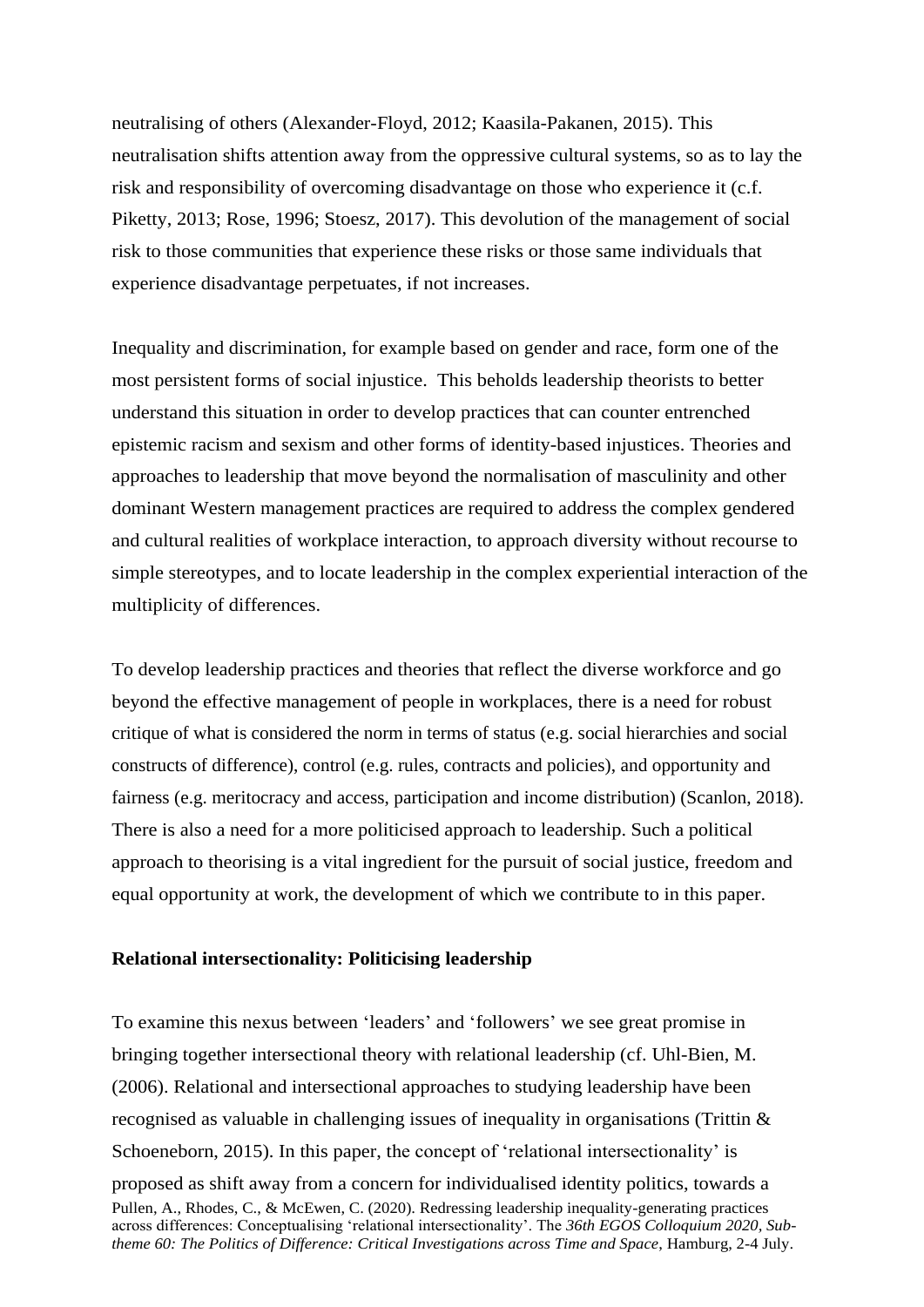neutralising of others (Alexander-Floyd, 2012; Kaasila-Pakanen, 2015). This neutralisation shifts attention away from the oppressive cultural systems, so as to lay the risk and responsibility of overcoming disadvantage on those who experience it (c.f. Piketty, 2013; Rose, 1996; Stoesz, 2017). This devolution of the management of social risk to those communities that experience these risks or those same individuals that experience disadvantage perpetuates, if not increases.

Inequality and discrimination, for example based on gender and race, form one of the most persistent forms of social injustice. This beholds leadership theorists to better understand this situation in order to develop practices that can counter entrenched epistemic racism and sexism and other forms of identity-based injustices. Theories and approaches to leadership that move beyond the normalisation of masculinity and other dominant Western management practices are required to address the complex gendered and cultural realities of workplace interaction, to approach diversity without recourse to simple stereotypes, and to locate leadership in the complex experiential interaction of the multiplicity of differences.

To develop leadership practices and theories that reflect the diverse workforce and go beyond the effective management of people in workplaces, there is a need for robust critique of what is considered the norm in terms of status (e.g. social hierarchies and social constructs of difference), control (e.g. rules, contracts and policies), and opportunity and fairness (e.g. meritocracy and access, participation and income distribution) (Scanlon, 2018). There is also a need for a more politicised approach to leadership. Such a political approach to theorising is a vital ingredient for the pursuit of social justice, freedom and equal opportunity at work, the development of which we contribute to in this paper.

## **Relational intersectionality: Politicising leadership**

Pullen, A., Rhodes, C., & McEwen, C. (2020). Redressing leadership inequality-generating practices across differences: Conceptualising 'relational intersectionality'. The *36th EGOS Colloquium 2020, Subtheme 60: The Politics of Difference: Critical Investigations across Time and Space*, Hamburg, 2-4 July. To examine this nexus between 'leaders' and 'followers' we see great promise in bringing together intersectional theory with relational leadership (cf. Uhl-Bien, M. (2006). Relational and intersectional approaches to studying leadership have been recognised as valuable in challenging issues of inequality in organisations (Trittin & Schoeneborn, 2015). In this paper, the concept of 'relational intersectionality' is proposed as shift away from a concern for individualised identity politics, towards a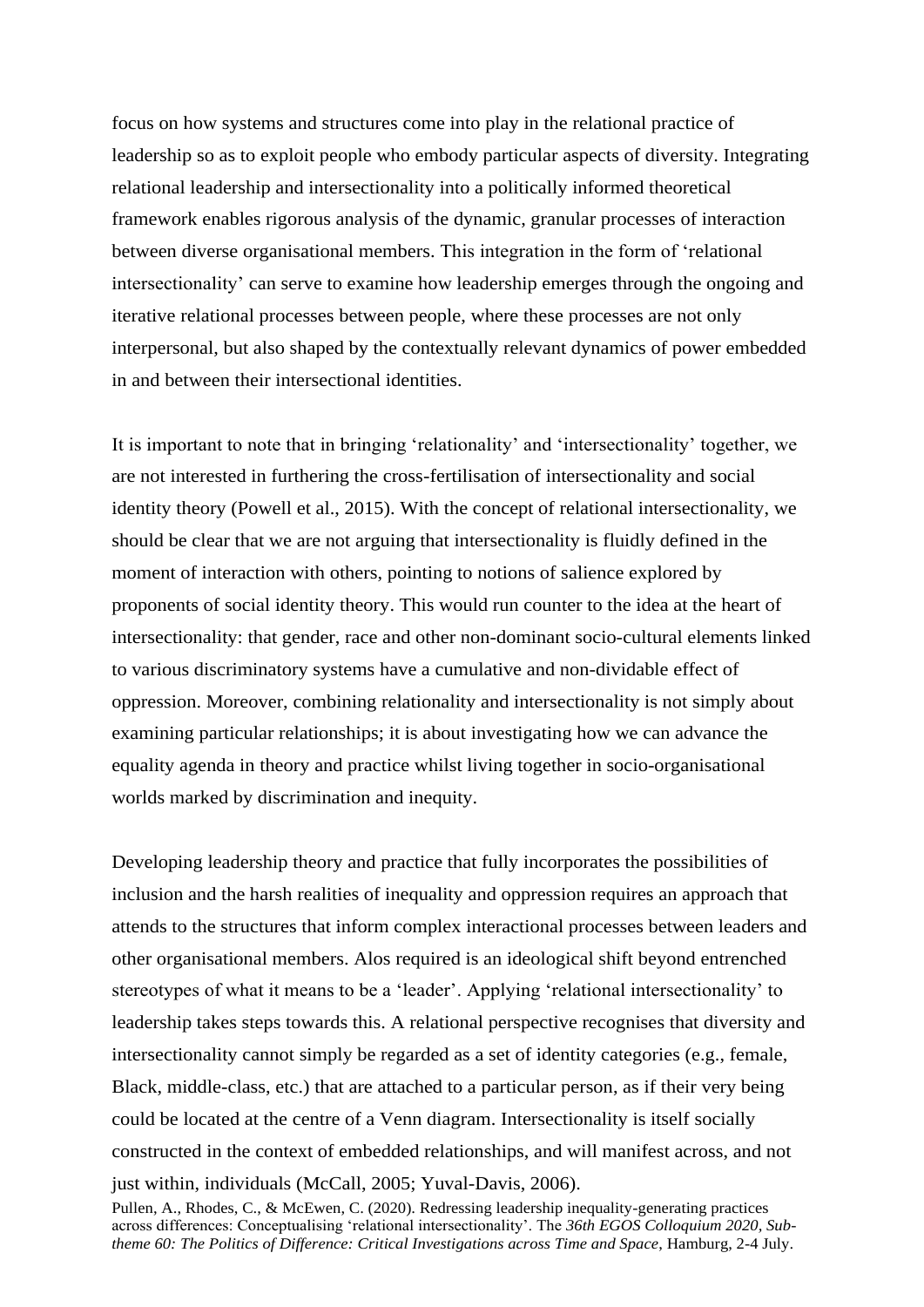focus on how systems and structures come into play in the relational practice of leadership so as to exploit people who embody particular aspects of diversity. Integrating relational leadership and intersectionality into a politically informed theoretical framework enables rigorous analysis of the dynamic, granular processes of interaction between diverse organisational members. This integration in the form of 'relational intersectionality' can serve to examine how leadership emerges through the ongoing and iterative relational processes between people, where these processes are not only interpersonal, but also shaped by the contextually relevant dynamics of power embedded in and between their intersectional identities.

It is important to note that in bringing 'relationality' and 'intersectionality' together, we are not interested in furthering the cross-fertilisation of intersectionality and social identity theory (Powell et al., 2015). With the concept of relational intersectionality, we should be clear that we are not arguing that intersectionality is fluidly defined in the moment of interaction with others, pointing to notions of salience explored by proponents of social identity theory. This would run counter to the idea at the heart of intersectionality: that gender, race and other non-dominant socio-cultural elements linked to various discriminatory systems have a cumulative and non-dividable effect of oppression. Moreover, combining relationality and intersectionality is not simply about examining particular relationships; it is about investigating how we can advance the equality agenda in theory and practice whilst living together in socio-organisational worlds marked by discrimination and inequity.

Developing leadership theory and practice that fully incorporates the possibilities of inclusion and the harsh realities of inequality and oppression requires an approach that attends to the structures that inform complex interactional processes between leaders and other organisational members. Alos required is an ideological shift beyond entrenched stereotypes of what it means to be a 'leader'. Applying 'relational intersectionality' to leadership takes steps towards this. A relational perspective recognises that diversity and intersectionality cannot simply be regarded as a set of identity categories (e.g., female, Black, middle-class, etc.) that are attached to a particular person, as if their very being could be located at the centre of a Venn diagram. Intersectionality is itself socially constructed in the context of embedded relationships, and will manifest across, and not just within, individuals (McCall, 2005; Yuval-Davis, 2006).

Pullen, A., Rhodes, C., & McEwen, C. (2020). Redressing leadership inequality-generating practices across differences: Conceptualising 'relational intersectionality'. The *36th EGOS Colloquium 2020, Subtheme 60: The Politics of Difference: Critical Investigations across Time and Space*, Hamburg, 2-4 July.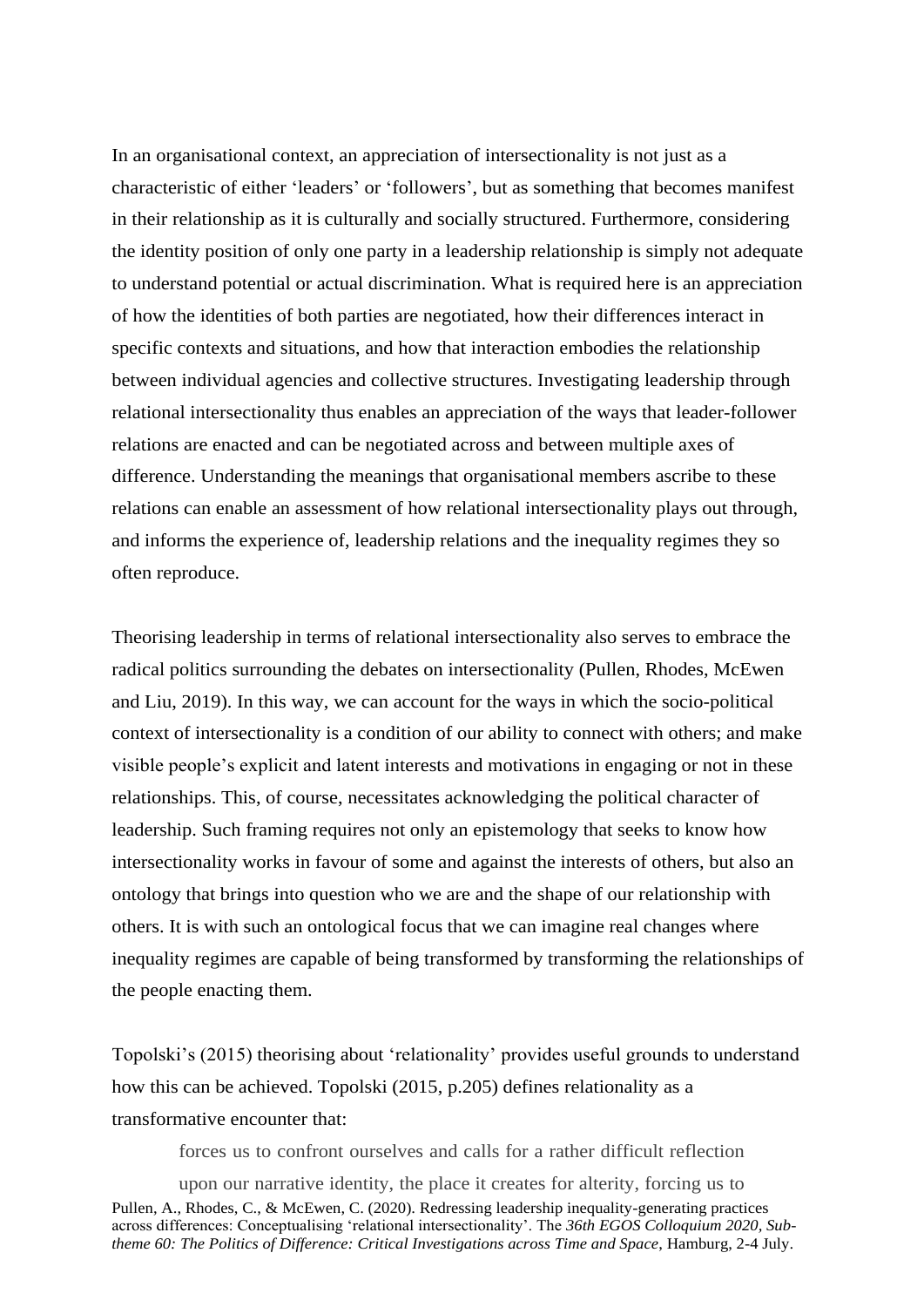In an organisational context, an appreciation of intersectionality is not just as a characteristic of either 'leaders' or 'followers', but as something that becomes manifest in their relationship as it is culturally and socially structured. Furthermore, considering the identity position of only one party in a leadership relationship is simply not adequate to understand potential or actual discrimination. What is required here is an appreciation of how the identities of both parties are negotiated, how their differences interact in specific contexts and situations, and how that interaction embodies the relationship between individual agencies and collective structures. Investigating leadership through relational intersectionality thus enables an appreciation of the ways that leader-follower relations are enacted and can be negotiated across and between multiple axes of difference. Understanding the meanings that organisational members ascribe to these relations can enable an assessment of how relational intersectionality plays out through, and informs the experience of, leadership relations and the inequality regimes they so often reproduce.

Theorising leadership in terms of relational intersectionality also serves to embrace the radical politics surrounding the debates on intersectionality (Pullen, Rhodes, McEwen and Liu, 2019). In this way, we can account for the ways in which the socio-political context of intersectionality is a condition of our ability to connect with others; and make visible people's explicit and latent interests and motivations in engaging or not in these relationships. This, of course, necessitates acknowledging the political character of leadership. Such framing requires not only an epistemology that seeks to know how intersectionality works in favour of some and against the interests of others, but also an ontology that brings into question who we are and the shape of our relationship with others. It is with such an ontological focus that we can imagine real changes where inequality regimes are capable of being transformed by transforming the relationships of the people enacting them.

Topolski's (2015) theorising about 'relationality' provides useful grounds to understand how this can be achieved. Topolski (2015, p.205) defines relationality as a transformative encounter that:

forces us to confront ourselves and calls for a rather difficult reflection

Pullen, A., Rhodes, C., & McEwen, C. (2020). Redressing leadership inequality-generating practices across differences: Conceptualising 'relational intersectionality'. The *36th EGOS Colloquium 2020, Subtheme 60: The Politics of Difference: Critical Investigations across Time and Space*, Hamburg, 2-4 July. upon our narrative identity, the place it creates for alterity, forcing us to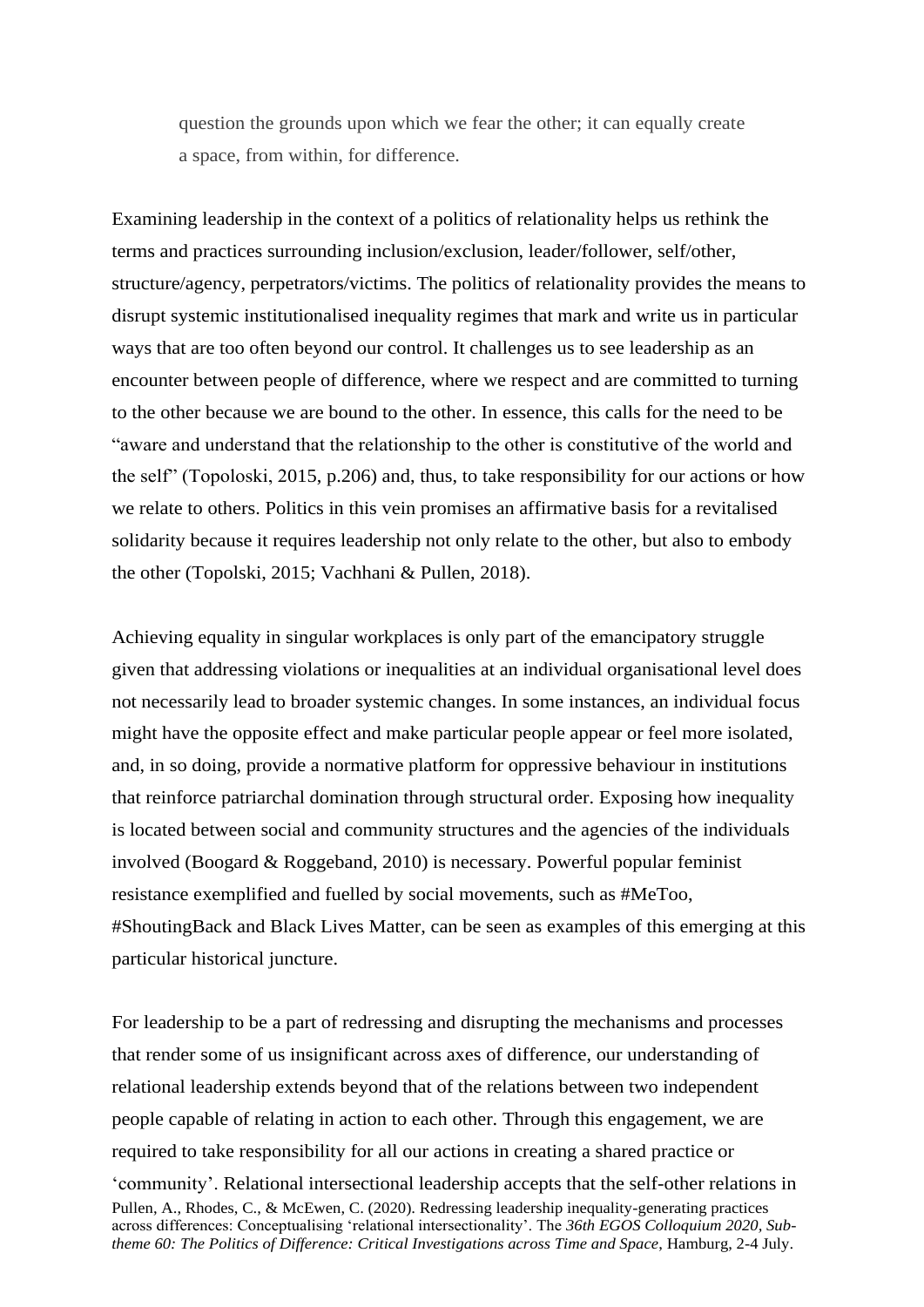question the grounds upon which we fear the other; it can equally create a space, from within, for difference.

Examining leadership in the context of a politics of relationality helps us rethink the terms and practices surrounding inclusion/exclusion, leader/follower, self/other, structure/agency, perpetrators/victims. The politics of relationality provides the means to disrupt systemic institutionalised inequality regimes that mark and write us in particular ways that are too often beyond our control. It challenges us to see leadership as an encounter between people of difference, where we respect and are committed to turning to the other because we are bound to the other. In essence, this calls for the need to be "aware and understand that the relationship to the other is constitutive of the world and the self" (Topoloski, 2015, p.206) and, thus, to take responsibility for our actions or how we relate to others. Politics in this vein promises an affirmative basis for a revitalised solidarity because it requires leadership not only relate to the other, but also to embody the other (Topolski, 2015; Vachhani & Pullen, 2018).

Achieving equality in singular workplaces is only part of the emancipatory struggle given that addressing violations or inequalities at an individual organisational level does not necessarily lead to broader systemic changes. In some instances, an individual focus might have the opposite effect and make particular people appear or feel more isolated, and, in so doing, provide a normative platform for oppressive behaviour in institutions that reinforce patriarchal domination through structural order. Exposing how inequality is located between social and community structures and the agencies of the individuals involved (Boogard & Roggeband, 2010) is necessary. Powerful popular feminist resistance exemplified and fuelled by social movements, such as #MeToo, #ShoutingBack and Black Lives Matter, can be seen as examples of this emerging at this particular historical juncture.

Pullen, A., Rhodes, C., & McEwen, C. (2020). Redressing leadership inequality-generating practices across differences: Conceptualising 'relational intersectionality'. The *36th EGOS Colloquium 2020, Subtheme 60: The Politics of Difference: Critical Investigations across Time and Space*, Hamburg, 2-4 July. For leadership to be a part of redressing and disrupting the mechanisms and processes that render some of us insignificant across axes of difference, our understanding of relational leadership extends beyond that of the relations between two independent people capable of relating in action to each other. Through this engagement, we are required to take responsibility for all our actions in creating a shared practice or 'community'. Relational intersectional leadership accepts that the self-other relations in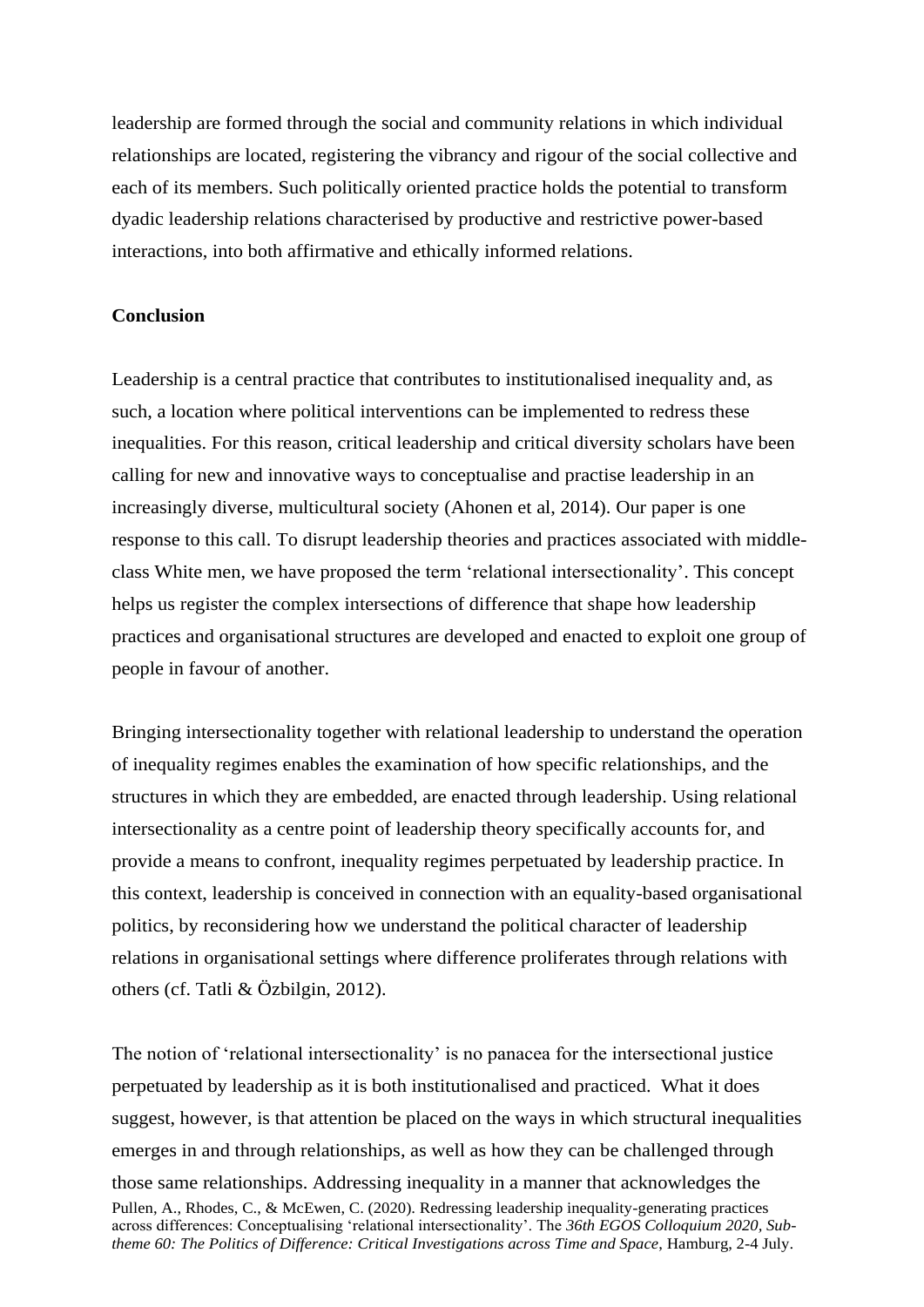leadership are formed through the social and community relations in which individual relationships are located, registering the vibrancy and rigour of the social collective and each of its members. Such politically oriented practice holds the potential to transform dyadic leadership relations characterised by productive and restrictive power-based interactions, into both affirmative and ethically informed relations.

## **Conclusion**

Leadership is a central practice that contributes to institutionalised inequality and, as such, a location where political interventions can be implemented to redress these inequalities. For this reason, critical leadership and critical diversity scholars have been calling for new and innovative ways to conceptualise and practise leadership in an increasingly diverse, multicultural society (Ahonen et al, 2014). Our paper is one response to this call. To disrupt leadership theories and practices associated with middleclass White men, we have proposed the term 'relational intersectionality'. This concept helps us register the complex intersections of difference that shape how leadership practices and organisational structures are developed and enacted to exploit one group of people in favour of another.

Bringing intersectionality together with relational leadership to understand the operation of inequality regimes enables the examination of how specific relationships, and the structures in which they are embedded, are enacted through leadership. Using relational intersectionality as a centre point of leadership theory specifically accounts for, and provide a means to confront, inequality regimes perpetuated by leadership practice. In this context, leadership is conceived in connection with an equality-based organisational politics, by reconsidering how we understand the political character of leadership relations in organisational settings where difference proliferates through relations with others (cf. Tatli & Özbilgin, 2012).

Pullen, A., Rhodes, C., & McEwen, C. (2020). Redressing leadership inequality-generating practices across differences: Conceptualising 'relational intersectionality'. The *36th EGOS Colloquium 2020, Subtheme 60: The Politics of Difference: Critical Investigations across Time and Space*, Hamburg, 2-4 July. The notion of 'relational intersectionality' is no panacea for the intersectional justice perpetuated by leadership as it is both institutionalised and practiced. What it does suggest, however, is that attention be placed on the ways in which structural inequalities emerges in and through relationships, as well as how they can be challenged through those same relationships. Addressing inequality in a manner that acknowledges the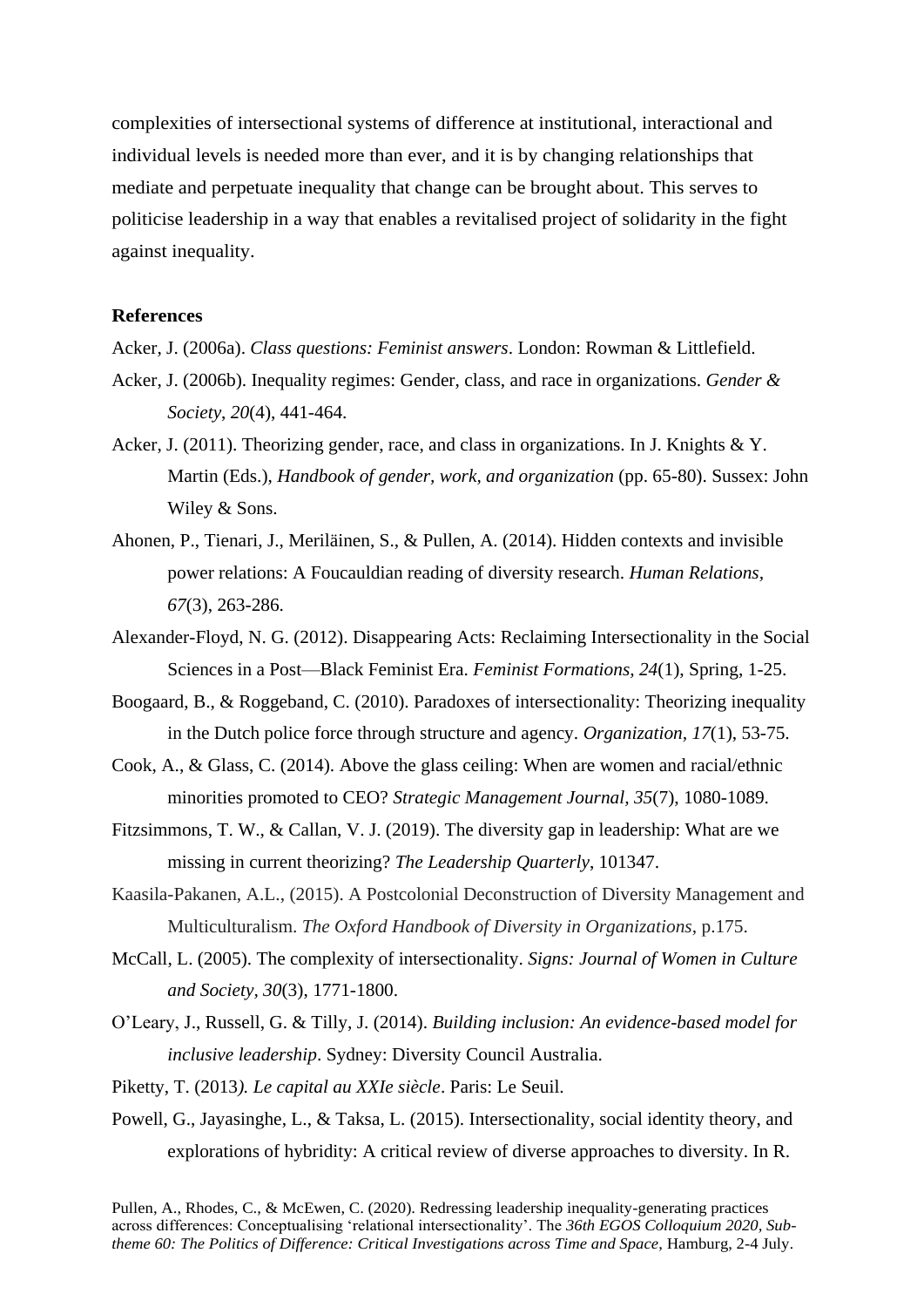complexities of intersectional systems of difference at institutional, interactional and individual levels is needed more than ever, and it is by changing relationships that mediate and perpetuate inequality that change can be brought about. This serves to politicise leadership in a way that enables a revitalised project of solidarity in the fight against inequality.

#### **References**

- Acker, J. (2006a). *Class questions: Feminist answers*. London: Rowman & Littlefield.
- Acker, J. (2006b). Inequality regimes: Gender, class, and race in organizations. *Gender & Society*, *20*(4), 441-464.
- Acker, J. (2011). Theorizing gender, race, and class in organizations. In J. Knights & Y. Martin (Eds.), *Handbook of gender, work, and organization* (pp. 65-80). Sussex: John Wiley & Sons.
- Ahonen, P., Tienari, J., Meriläinen, S., & Pullen, A. (2014). Hidden contexts and invisible power relations: A Foucauldian reading of diversity research. *Human Relations, 67*(3), 263-286.
- Alexander-Floyd, N. G. (2012). Disappearing Acts: Reclaiming Intersectionality in the Social Sciences in a Post—Black Feminist Era. *Feminist Formations, 24*(1), Spring, 1-25.
- Boogaard, B., & Roggeband, C. (2010). Paradoxes of intersectionality: Theorizing inequality in the Dutch police force through structure and agency. *Organization, 17*(1), 53-75.
- Cook, A., & Glass, C. (2014). Above the glass ceiling: When are women and racial/ethnic minorities promoted to CEO? *Strategic Management Journal, 35*(7), 1080-1089.
- Fitzsimmons, T. W., & Callan, V. J. (2019). The diversity gap in leadership: What are we missing in current theorizing? *The Leadership Quarterly*, 101347.
- Kaasila-Pakanen, A.L., (2015). A Postcolonial Deconstruction of Diversity Management and Multiculturalism. *The Oxford Handbook of Diversity in Organizations*, p.175.
- McCall, L. (2005). The complexity of intersectionality. *Signs: Journal of Women in Culture and Society, 30*(3), 1771-1800.
- O'Leary, J., Russell, G. & Tilly, J. (2014). *Building inclusion: An evidence-based model for inclusive leadership*. Sydney: Diversity Council Australia.
- Piketty, T. (2013*). Le capital au XXIe siècle*. Paris: Le Seuil.
- Powell, G., Jayasinghe, L., & Taksa, L. (2015). Intersectionality, social identity theory, and explorations of hybridity: A critical review of diverse approaches to diversity. In R.